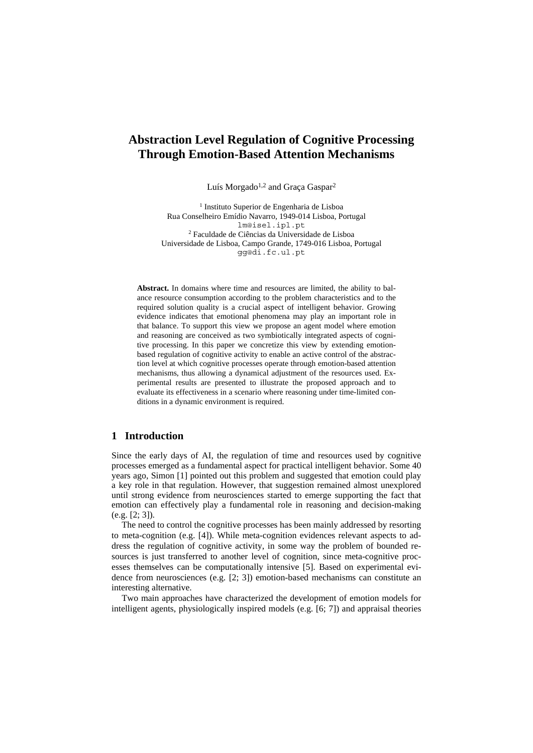# **Abstraction Level Regulation of Cognitive Processing Through Emotion-Based Attention Mechanisms**

Luís Morgado<sup>1,2</sup> and Graça Gaspar<sup>2</sup>

1 Instituto Superior de Engenharia de Lisboa Rua Conselheiro Emídio Navarro, 1949-014 Lisboa, Portugal lm@isel.ipl.pt 2 Faculdade de Ciências da Universidade de Lisboa Universidade de Lisboa, Campo Grande, 1749-016 Lisboa, Portugal gg@di.fc.ul.pt

**Abstract.** In domains where time and resources are limited, the ability to balance resource consumption according to the problem characteristics and to the required solution quality is a crucial aspect of intelligent behavior. Growing evidence indicates that emotional phenomena may play an important role in that balance. To support this view we propose an agent model where emotion and reasoning are conceived as two symbiotically integrated aspects of cognitive processing. In this paper we concretize this view by extending emotionbased regulation of cognitive activity to enable an active control of the abstraction level at which cognitive processes operate through emotion-based attention mechanisms, thus allowing a dynamical adjustment of the resources used. Experimental results are presented to illustrate the proposed approach and to evaluate its effectiveness in a scenario where reasoning under time-limited conditions in a dynamic environment is required.

# **1 Introduction**

Since the early days of AI, the regulation of time and resources used by cognitive processes emerged as a fundamental aspect for practical intelligent behavior. Some 40 years ago, Simon [1] pointed out this problem and suggested that emotion could play a key role in that regulation. However, that suggestion remained almost unexplored until strong evidence from neurosciences started to emerge supporting the fact that emotion can effectively play a fundamental role in reasoning and decision-making (e.g. [2; 3]).

The need to control the cognitive processes has been mainly addressed by resorting to meta-cognition (e.g. [4]). While meta-cognition evidences relevant aspects to address the regulation of cognitive activity, in some way the problem of bounded resources is just transferred to another level of cognition, since meta-cognitive processes themselves can be computationally intensive [5]. Based on experimental evidence from neurosciences (e.g. [2; 3]) emotion-based mechanisms can constitute an interesting alternative.

Two main approaches have characterized the development of emotion models for intelligent agents, physiologically inspired models (e.g. [6; 7]) and appraisal theories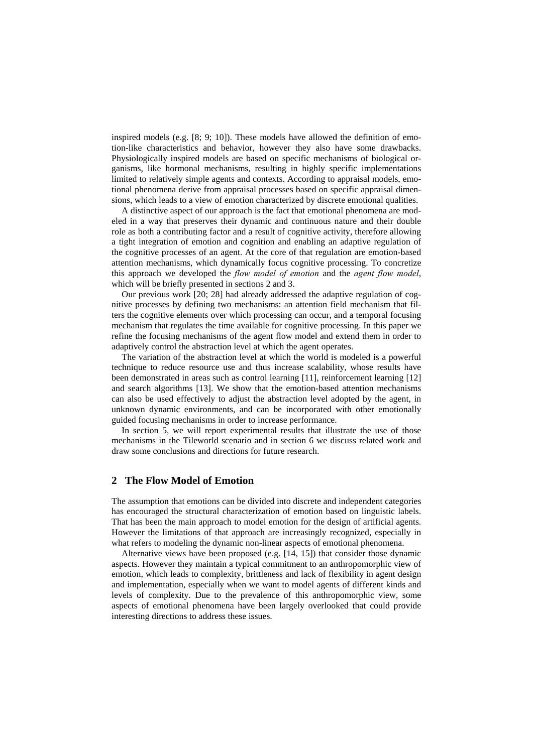inspired models (e.g.  $[8; 9; 10]$ ). These models have allowed the definition of emotion-like characteristics and behavior, however they also have some drawbacks. Physiologically inspired models are based on specific mechanisms of biological organisms, like hormonal mechanisms, resulting in highly specific implementations limited to relatively simple agents and contexts. According to appraisal models, emotional phenomena derive from appraisal processes based on specific appraisal dimensions, which leads to a view of emotion characterized by discrete emotional qualities.

A distinctive aspect of our approach is the fact that emotional phenomena are modeled in a way that preserves their dynamic and continuous nature and their double role as both a contributing factor and a result of cognitive activity, therefore allowing a tight integration of emotion and cognition and enabling an adaptive regulation of the cognitive processes of an agent. At the core of that regulation are emotion-based attention mechanisms, which dynamically focus cognitive processing. To concretize this approach we developed the *flow model of emotion* and the *agent flow model*, which will be briefly presented in sections 2 and 3.

Our previous work [20; 28] had already addressed the adaptive regulation of cognitive processes by defining two mechanisms: an attention field mechanism that filters the cognitive elements over which processing can occur, and a temporal focusing mechanism that regulates the time available for cognitive processing. In this paper we refine the focusing mechanisms of the agent flow model and extend them in order to adaptively control the abstraction level at which the agent operates.

The variation of the abstraction level at which the world is modeled is a powerful technique to reduce resource use and thus increase scalability, whose results have been demonstrated in areas such as control learning [11], reinforcement learning [12] and search algorithms [13]. We show that the emotion-based attention mechanisms can also be used effectively to adjust the abstraction level adopted by the agent, in unknown dynamic environments, and can be incorporated with other emotionally guided focusing mechanisms in order to increase performance.

In section 5, we will report experimental results that illustrate the use of those mechanisms in the Tileworld scenario and in section 6 we discuss related work and draw some conclusions and directions for future research.

# **2 The Flow Model of Emotion**

The assumption that emotions can be divided into discrete and independent categories has encouraged the structural characterization of emotion based on linguistic labels. That has been the main approach to model emotion for the design of artificial agents. However the limitations of that approach are increasingly recognized, especially in what refers to modeling the dynamic non-linear aspects of emotional phenomena.

Alternative views have been proposed (e.g. [14, 15]) that consider those dynamic aspects. However they maintain a typical commitment to an anthropomorphic view of emotion, which leads to complexity, brittleness and lack of flexibility in agent design and implementation, especially when we want to model agents of different kinds and levels of complexity. Due to the prevalence of this anthropomorphic view, some aspects of emotional phenomena have been largely overlooked that could provide interesting directions to address these issues.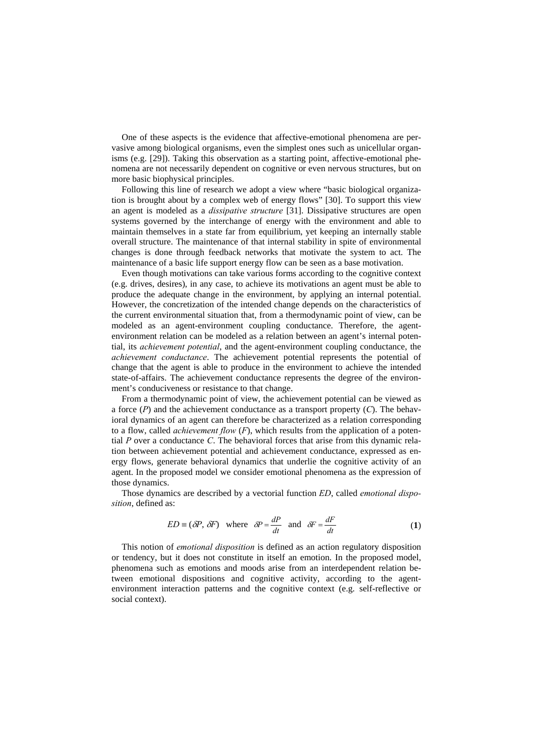One of these aspects is the evidence that affective-emotional phenomena are pervasive among biological organisms, even the simplest ones such as unicellular organisms (e.g. [29]). Taking this observation as a starting point, affective-emotional phenomena are not necessarily dependent on cognitive or even nervous structures, but on more basic biophysical principles.

Following this line of research we adopt a view where "basic biological organization is brought about by a complex web of energy flows" [30]. To support this view an agent is modeled as a *dissipative structure* [31]. Dissipative structures are open systems governed by the interchange of energy with the environment and able to maintain themselves in a state far from equilibrium, yet keeping an internally stable overall structure. The maintenance of that internal stability in spite of environmental changes is done through feedback networks that motivate the system to act. The maintenance of a basic life support energy flow can be seen as a base motivation.

Even though motivations can take various forms according to the cognitive context (e.g. drives, desires), in any case, to achieve its motivations an agent must be able to produce the adequate change in the environment, by applying an internal potential. However, the concretization of the intended change depends on the characteristics of the current environmental situation that, from a thermodynamic point of view, can be modeled as an agent-environment coupling conductance. Therefore, the agentenvironment relation can be modeled as a relation between an agent's internal potential, its *achievement potential*, and the agent-environment coupling conductance, the *achievement conductance*. The achievement potential represents the potential of change that the agent is able to produce in the environment to achieve the intended state-of-affairs. The achievement conductance represents the degree of the environment's conduciveness or resistance to that change.

From a thermodynamic point of view, the achievement potential can be viewed as a force (*P*) and the achievement conductance as a transport property (*C*). The behavioral dynamics of an agent can therefore be characterized as a relation corresponding to a flow, called *achievement flow* (*F*), which results from the application of a potential *P* over a conductance *C*. The behavioral forces that arise from this dynamic relation between achievement potential and achievement conductance, expressed as energy flows, generate behavioral dynamics that underlie the cognitive activity of an agent. In the proposed model we consider emotional phenomena as the expression of those dynamics.

Those dynamics are described by a vectorial function *ED*, called *emotional disposition*, defined as:

$$
ED \equiv (\delta P, \delta F)
$$
 where  $\delta P = \frac{dP}{dt}$  and  $\delta F = \frac{dF}{dt}$  (1)

This notion of *emotional disposition* is defined as an action regulatory disposition or tendency, but it does not constitute in itself an emotion. In the proposed model, phenomena such as emotions and moods arise from an interdependent relation between emotional dispositions and cognitive activity, according to the agentenvironment interaction patterns and the cognitive context (e.g. self-reflective or social context).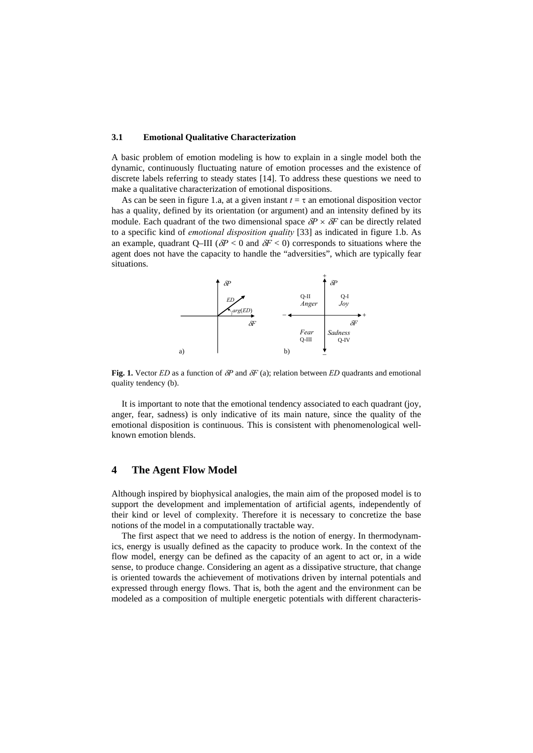### **3.1 Emotional Qualitative Characterization**

A basic problem of emotion modeling is how to explain in a single model both the dynamic, continuously fluctuating nature of emotion processes and the existence of discrete labels referring to steady states [14]. To address these questions we need to make a qualitative characterization of emotional dispositions.

As can be seen in figure 1.a, at a given instant  $t = \tau$  an emotional disposition vector has a quality, defined by its orientation (or argument) and an intensity defined by its module. Each quadrant of the two dimensional space  $\delta P \times \delta F$  can be directly related to a specific kind of *emotional disposition quality* [33] as indicated in figure 1.b. As an example, quadrant  $Q$ –III ( $\delta P < 0$  and  $\delta F < 0$ ) corresponds to situations where the agent does not have the capacity to handle the "adversities", which are typically fear situations.



**Fig. 1.** Vector *ED* as a function of δ*P* and δ*F* (a); relation between *ED* quadrants and emotional quality tendency (b).

It is important to note that the emotional tendency associated to each quadrant (joy, anger, fear, sadness) is only indicative of its main nature, since the quality of the emotional disposition is continuous. This is consistent with phenomenological wellknown emotion blends.

# **4 The Agent Flow Model**

Although inspired by biophysical analogies, the main aim of the proposed model is to support the development and implementation of artificial agents, independently of their kind or level of complexity. Therefore it is necessary to concretize the base notions of the model in a computationally tractable way.

The first aspect that we need to address is the notion of energy. In thermodynamics, energy is usually defined as the capacity to produce work. In the context of the flow model, energy can be defined as the capacity of an agent to act or, in a wide sense, to produce change. Considering an agent as a dissipative structure, that change is oriented towards the achievement of motivations driven by internal potentials and expressed through energy flows. That is, both the agent and the environment can be modeled as a composition of multiple energetic potentials with different characteris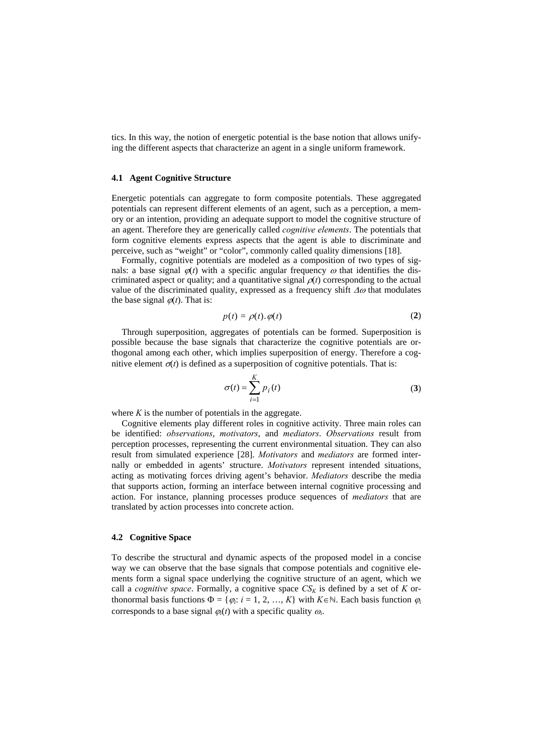tics. In this way, the notion of energetic potential is the base notion that allows unifying the different aspects that characterize an agent in a single uniform framework.

### **4.1 Agent Cognitive Structure**

Energetic potentials can aggregate to form composite potentials. These aggregated potentials can represent different elements of an agent, such as a perception, a memory or an intention, providing an adequate support to model the cognitive structure of an agent. Therefore they are generically called *cognitive elements*. The potentials that form cognitive elements express aspects that the agent is able to discriminate and perceive, such as "weight" or "color", commonly called quality dimensions [18].

Formally, cognitive potentials are modeled as a composition of two types of signals: a base signal  $\varphi(t)$  with a specific angular frequency  $\omega$  that identifies the discriminated aspect or quality; and a quantitative signal  $\rho(t)$  corresponding to the actual value of the discriminated quality, expressed as a frequency shift  $\Delta\omega$  that modulates the base signal  $\varphi(t)$ . That is:

$$
p(t) = \rho(t) \cdot \varphi(t) \tag{2}
$$

Through superposition, aggregates of potentials can be formed. Superposition is possible because the base signals that characterize the cognitive potentials are orthogonal among each other, which implies superposition of energy. Therefore a cognitive element  $\sigma(t)$  is defined as a superposition of cognitive potentials. That is:

$$
\sigma(t) = \sum_{i=1}^{K} p_i(t) \tag{3}
$$

where  $K$  is the number of potentials in the aggregate.

Cognitive elements play different roles in cognitive activity. Three main roles can be identified: *observations*, *motivators*, and *mediators*. *Observations* result from perception processes, representing the current environmental situation. They can also result from simulated experience [28]. *Motivators* and *mediators* are formed internally or embedded in agents' structure. *Motivators* represent intended situations, acting as motivating forces driving agent's behavior. *Mediators* describe the media that supports action, forming an interface between internal cognitive processing and action. For instance, planning processes produce sequences of *mediators* that are translated by action processes into concrete action.

### **4.2 Cognitive Space**

To describe the structural and dynamic aspects of the proposed model in a concise way we can observe that the base signals that compose potentials and cognitive elements form a signal space underlying the cognitive structure of an agent, which we call a *cognitive space*. Formally, a cognitive space  $CS_K$  is defined by a set of K orthonormal basis functions  $\Phi = \{\varphi_i : i = 1, 2, ..., K\}$  with  $K \in \mathbb{N}$ . Each basis function  $\varphi_i$ corresponds to a base signal  $\varphi_i(t)$  with a specific quality  $\omega_i$ .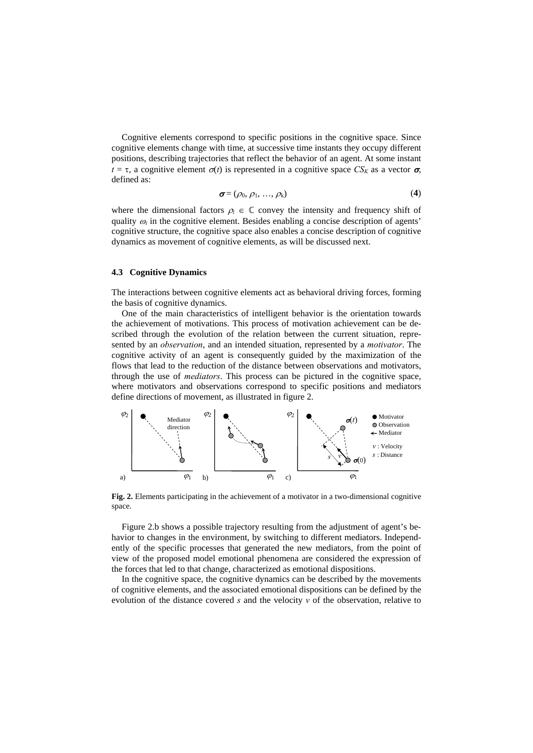Cognitive elements correspond to specific positions in the cognitive space. Since cognitive elements change with time, at successive time instants they occupy different positions, describing trajectories that reflect the behavior of an agent. At some instant  $t = \tau$ , a cognitive element  $\sigma(t)$  is represented in a cognitive space  $CS_K$  as a vector  $\sigma$ , defined as:

$$
\boldsymbol{\sigma} = (\rho_0, \rho_1, \ldots, \rho_k) \tag{4}
$$

where the dimensional factors  $\rho_i \in \mathbb{C}$  convey the intensity and frequency shift of quality  $\omega_i$  in the cognitive element. Besides enabling a concise description of agents' cognitive structure, the cognitive space also enables a concise description of cognitive dynamics as movement of cognitive elements, as will be discussed next.

### **4.3 Cognitive Dynamics**

The interactions between cognitive elements act as behavioral driving forces, forming the basis of cognitive dynamics.

One of the main characteristics of intelligent behavior is the orientation towards the achievement of motivations. This process of motivation achievement can be described through the evolution of the relation between the current situation, represented by an *observation*, and an intended situation, represented by a *motivator*. The cognitive activity of an agent is consequently guided by the maximization of the flows that lead to the reduction of the distance between observations and motivators, through the use of *mediators*. This process can be pictured in the cognitive space, where motivators and observations correspond to specific positions and mediators define directions of movement, as illustrated in figure 2.



**Fig. 2.** Elements participating in the achievement of a motivator in a two-dimensional cognitive space.

Figure 2.b shows a possible trajectory resulting from the adjustment of agent's behavior to changes in the environment, by switching to different mediators. Independently of the specific processes that generated the new mediators, from the point of view of the proposed model emotional phenomena are considered the expression of the forces that led to that change, characterized as emotional dispositions.

In the cognitive space, the cognitive dynamics can be described by the movements of cognitive elements, and the associated emotional dispositions can be defined by the evolution of the distance covered *s* and the velocity *v* of the observation, relative to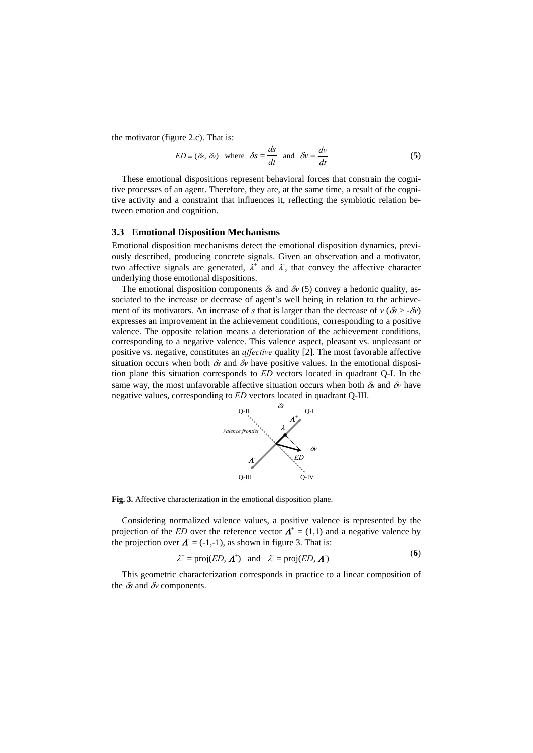the motivator (figure 2.c). That is:

$$
ED \equiv (\delta s, \delta v)
$$
 where  $\delta s = \frac{ds}{dt}$  and  $\delta v = \frac{dv}{dt}$  (5)

These emotional dispositions represent behavioral forces that constrain the cognitive processes of an agent. Therefore, they are, at the same time, a result of the cognitive activity and a constraint that influences it, reflecting the symbiotic relation between emotion and cognition.

#### **3.3 Emotional Disposition Mechanisms**

Emotional disposition mechanisms detect the emotional disposition dynamics, previously described, producing concrete signals. Given an observation and a motivator, two affective signals are generated,  $\lambda^+$  and  $\lambda^-$ , that convey the affective character underlying those emotional dispositions.

The emotional disposition components  $\delta s$  and  $\delta v$  (5) convey a hedonic quality, associated to the increase or decrease of agent's well being in relation to the achievement of its motivators. An increase of *s* that is larger than the decrease of  $v (\delta s > -\delta v)$ expresses an improvement in the achievement conditions, corresponding to a positive valence. The opposite relation means a deterioration of the achievement conditions, corresponding to a negative valence. This valence aspect, pleasant vs. unpleasant or positive vs. negative, constitutes an *affective* quality [2]. The most favorable affective situation occurs when both  $\delta s$  and  $\delta v$  have positive values. In the emotional disposition plane this situation corresponds to *ED* vectors located in quadrant Q-I. In the same way, the most unfavorable affective situation occurs when both δ*s* and δ*v* have negative values, corresponding to *ED* vectors located in quadrant Q-III.



**Fig. 3.** Affective characterization in the emotional disposition plane.

Considering normalized valence values, a positive valence is represented by the projection of the *ED* over the reference vector  $\Lambda^+ = (1,1)$  and a negative valence by the projection over  $\Lambda = (-1,-1)$ , as shown in figure 3. That is:

$$
\lambda^+ = \text{proj}(ED, \Lambda^+) \quad \text{and} \quad \lambda^- = \text{proj}(ED, \Lambda) \tag{6}
$$

This geometric characterization corresponds in practice to a linear composition of the δ*s* and δ*v* components.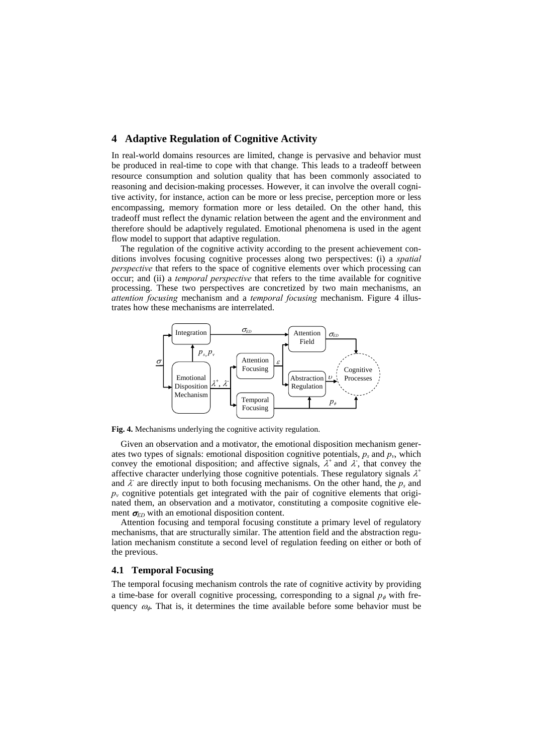# **4 Adaptive Regulation of Cognitive Activity**

In real-world domains resources are limited, change is pervasive and behavior must be produced in real-time to cope with that change. This leads to a tradeoff between resource consumption and solution quality that has been commonly associated to reasoning and decision-making processes. However, it can involve the overall cognitive activity, for instance, action can be more or less precise, perception more or less encompassing, memory formation more or less detailed. On the other hand, this tradeoff must reflect the dynamic relation between the agent and the environment and therefore should be adaptively regulated. Emotional phenomena is used in the agent flow model to support that adaptive regulation.

The regulation of the cognitive activity according to the present achievement conditions involves focusing cognitive processes along two perspectives: (i) a *spatial perspective* that refers to the space of cognitive elements over which processing can occur; and (ii) a *temporal perspective* that refers to the time available for cognitive processing. These two perspectives are concretized by two main mechanisms, an *attention focusing* mechanism and a *temporal focusing* mechanism. Figure 4 illustrates how these mechanisms are interrelated.



**Fig. 4.** Mechanisms underlying the cognitive activity regulation.

Given an observation and a motivator, the emotional disposition mechanism generates two types of signals: emotional disposition cognitive potentials,  $p_s$  and  $p_v$ , which convey the emotional disposition; and affective signals,  $\lambda^+$  and  $\lambda^-$ , that convey the affective character underlying those cognitive potentials. These regulatory signals  $\lambda^+$ and  $\lambda$  are directly input to both focusing mechanisms. On the other hand, the  $p_s$  and  $p<sub>v</sub>$  cognitive potentials get integrated with the pair of cognitive elements that originated them, an observation and a motivator, constituting a composite cognitive element <sup>σ</sup>*ED* with an emotional disposition content.

Attention focusing and temporal focusing constitute a primary level of regulatory mechanisms, that are structurally similar. The attention field and the abstraction regulation mechanism constitute a second level of regulation feeding on either or both of the previous.

#### **4.1 Temporal Focusing**

The temporal focusing mechanism controls the rate of cognitive activity by providing a time-base for overall cognitive processing, corresponding to a signal  $p_{\phi}$  with frequency  $\omega_{\phi}$ . That is, it determines the time available before some behavior must be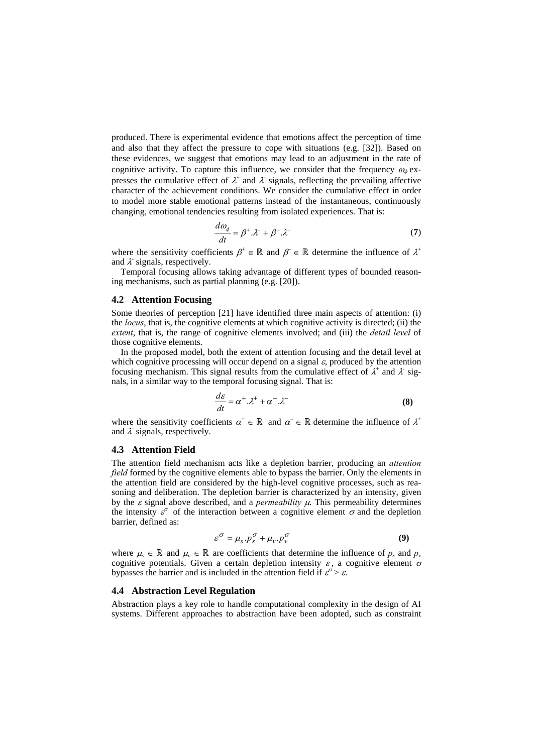produced. There is experimental evidence that emotions affect the perception of time and also that they affect the pressure to cope with situations (e.g. [32]). Based on these evidences, we suggest that emotions may lead to an adjustment in the rate of cognitive activity. To capture this influence, we consider that the frequency  $\omega_{\phi}$  expresses the cumulative effect of  $\lambda^+$  and  $\lambda^-$  signals, reflecting the prevailing affective character of the achievement conditions. We consider the cumulative effect in order to model more stable emotional patterns instead of the instantaneous, continuously changing, emotional tendencies resulting from isolated experiences. That is:

$$
\frac{d\omega_{\phi}}{dt} = \beta^{+} \mathcal{X}^{+} + \beta^{-} \mathcal{X}^{-}
$$
 (7)

where the sensitivity coefficients  $\beta^+ \in \mathbb{R}$  and  $\beta^- \in \mathbb{R}$  determine the influence of  $\lambda^+$ and  $\lambda$  signals, respectively.

Temporal focusing allows taking advantage of different types of bounded reasoning mechanisms, such as partial planning (e.g. [20]).

### **4.2 Attention Focusing**

Some theories of perception [21] have identified three main aspects of attention: (i) the *locus*, that is, the cognitive elements at which cognitive activity is directed; (ii) the *extent*, that is, the range of cognitive elements involved; and (iii) the *detail level* of those cognitive elements.

In the proposed model, both the extent of attention focusing and the detail level at which cognitive processing will occur depend on a signal  $\varepsilon$ , produced by the attention focusing mechanism. This signal results from the cumulative effect of  $\lambda^+$  and  $\lambda^-$  signals, in a similar way to the temporal focusing signal. That is:

$$
\frac{d\varepsilon}{dt} = \alpha^+ \mathcal{A}^+ + \alpha^- \mathcal{A}^- \tag{8}
$$

where the sensitivity coefficients  $\alpha^+ \in \mathbb{R}$  and  $\alpha^- \in \mathbb{R}$  determine the influence of  $\lambda^+$ and  $\lambda$  signals, respectively.

#### **4.3 Attention Field**

The attention field mechanism acts like a depletion barrier, producing an *attention field* formed by the cognitive elements able to bypass the barrier. Only the elements in the attention field are considered by the high-level cognitive processes, such as reasoning and deliberation. The depletion barrier is characterized by an intensity, given by the ε signal above described, and a *permeability* μ. This permeability determines the intensity  $\varepsilon^{\sigma}$  of the interaction between a cognitive element  $\sigma$  and the depletion barrier, defined as:

$$
\varepsilon^{\sigma} = \mu_s \cdot p_s^{\sigma} + \mu_v \cdot p_v^{\sigma} \tag{9}
$$

where  $\mu_s \in \mathbb{R}$  and  $\mu_v \in \mathbb{R}$  are coefficients that determine the influence of  $p_s$  and  $p_v$ cognitive potentials. Given a certain depletion intensity  $\varepsilon$ , a cognitive element  $\sigma$ bypasses the barrier and is included in the attention field if  $\varepsilon^{\sigma} > \varepsilon$ .

### **4.4 Abstraction Level Regulation**

Abstraction plays a key role to handle computational complexity in the design of AI systems. Different approaches to abstraction have been adopted, such as constraint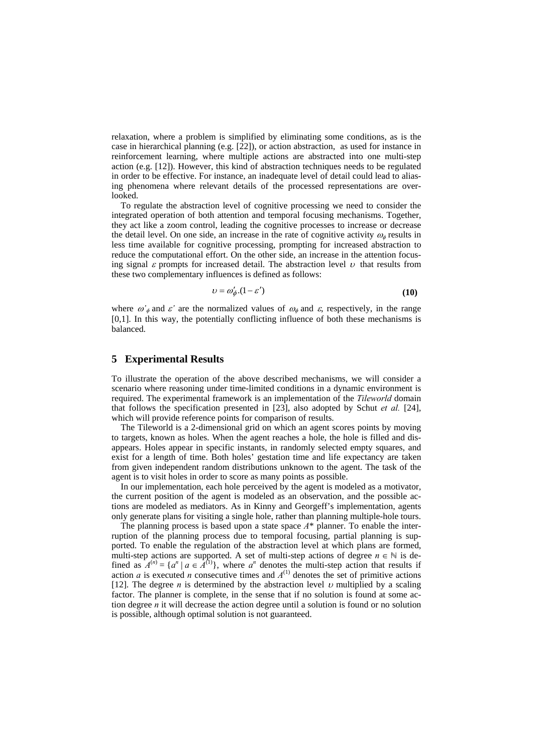relaxation, where a problem is simplified by eliminating some conditions, as is the case in hierarchical planning (e.g. [22]), or action abstraction, as used for instance in reinforcement learning, where multiple actions are abstracted into one multi-step action (e.g. [12]). However, this kind of abstraction techniques needs to be regulated in order to be effective. For instance, an inadequate level of detail could lead to aliasing phenomena where relevant details of the processed representations are overlooked.

To regulate the abstraction level of cognitive processing we need to consider the integrated operation of both attention and temporal focusing mechanisms. Together, they act like a zoom control, leading the cognitive processes to increase or decrease the detail level. On one side, an increase in the rate of cognitive activity  $\omega_{\phi}$  results in less time available for cognitive processing, prompting for increased abstraction to reduce the computational effort. On the other side, an increase in the attention focusing signal  $\varepsilon$  prompts for increased detail. The abstraction level  $\nu$  that results from these two complementary influences is defined as follows:

$$
\upsilon = \omega_{\phi}^{\prime} . (1 - \varepsilon^{\prime}) \tag{10}
$$

where  $\omega'_{\phi}$  and  $\varepsilon'$  are the normalized values of  $\omega_{\phi}$  and  $\varepsilon$ , respectively, in the range [0,1]. In this way, the potentially conflicting influence of both these mechanisms is balanced.

## **5 Experimental Results**

To illustrate the operation of the above described mechanisms, we will consider a scenario where reasoning under time-limited conditions in a dynamic environment is required. The experimental framework is an implementation of the *Tileworld* domain that follows the specification presented in [23], also adopted by Schut *et al.* [24], which will provide reference points for comparison of results.

The Tileworld is a 2-dimensional grid on which an agent scores points by moving to targets, known as holes. When the agent reaches a hole, the hole is filled and disappears. Holes appear in specific instants, in randomly selected empty squares, and exist for a length of time. Both holes' gestation time and life expectancy are taken from given independent random distributions unknown to the agent. The task of the agent is to visit holes in order to score as many points as possible.

In our implementation, each hole perceived by the agent is modeled as a motivator, the current position of the agent is modeled as an observation, and the possible actions are modeled as mediators. As in Kinny and Georgeff's implementation, agents only generate plans for visiting a single hole, rather than planning multiple-hole tours.

The planning process is based upon a state space *A*\* planner. To enable the interruption of the planning process due to temporal focusing, partial planning is supported. To enable the regulation of the abstraction level at which plans are formed, multi-step actions are supported. A set of multi-step actions of degree  $n \in \mathbb{N}$  is defined as  $A^{(n)} = \{a^n \mid a \in \hat{A}^{(1)}\}$ , where  $a^n$  denotes the multi-step action that results if action *a* is executed *n* consecutive times and  $A^{(1)}$  denotes the set of primitive actions [12]. The degree *n* is determined by the abstraction level  $\nu$  multiplied by a scaling factor. The planner is complete, in the sense that if no solution is found at some action degree *n* it will decrease the action degree until a solution is found or no solution is possible, although optimal solution is not guaranteed.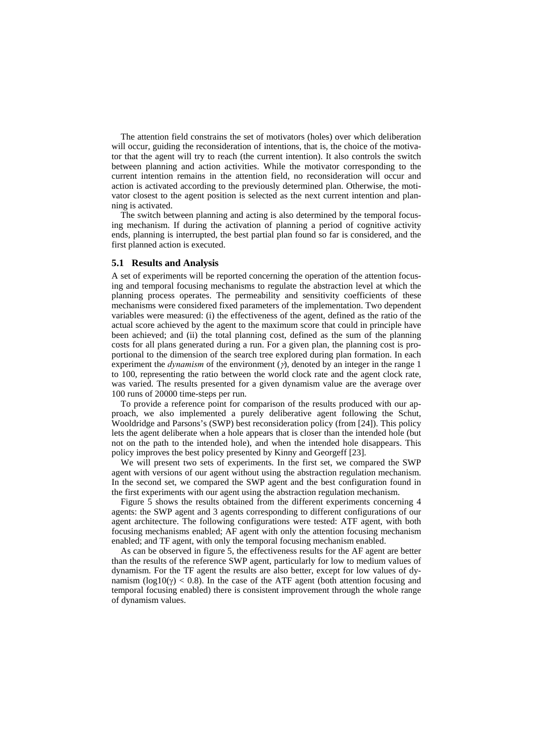The attention field constrains the set of motivators (holes) over which deliberation will occur, guiding the reconsideration of intentions, that is, the choice of the motivator that the agent will try to reach (the current intention). It also controls the switch between planning and action activities. While the motivator corresponding to the current intention remains in the attention field, no reconsideration will occur and action is activated according to the previously determined plan. Otherwise, the motivator closest to the agent position is selected as the next current intention and planning is activated.

The switch between planning and acting is also determined by the temporal focusing mechanism. If during the activation of planning a period of cognitive activity ends, planning is interrupted, the best partial plan found so far is considered, and the first planned action is executed.

#### **5.1 Results and Analysis**

A set of experiments will be reported concerning the operation of the attention focusing and temporal focusing mechanisms to regulate the abstraction level at which the planning process operates. The permeability and sensitivity coefficients of these mechanisms were considered fixed parameters of the implementation. Two dependent variables were measured: (i) the effectiveness of the agent, defined as the ratio of the actual score achieved by the agent to the maximum score that could in principle have been achieved; and (ii) the total planning cost, defined as the sum of the planning costs for all plans generated during a run. For a given plan, the planning cost is proportional to the dimension of the search tree explored during plan formation. In each experiment the *dynamism* of the environment (γ), denoted by an integer in the range 1 to 100, representing the ratio between the world clock rate and the agent clock rate, was varied. The results presented for a given dynamism value are the average over 100 runs of 20000 time-steps per run.

To provide a reference point for comparison of the results produced with our approach, we also implemented a purely deliberative agent following the Schut, Wooldridge and Parsons's (SWP) best reconsideration policy (from [24]). This policy lets the agent deliberate when a hole appears that is closer than the intended hole (but not on the path to the intended hole), and when the intended hole disappears. This policy improves the best policy presented by Kinny and Georgeff [23].

We will present two sets of experiments. In the first set, we compared the SWP agent with versions of our agent without using the abstraction regulation mechanism. In the second set, we compared the SWP agent and the best configuration found in the first experiments with our agent using the abstraction regulation mechanism.

Figure 5 shows the results obtained from the different experiments concerning 4 agents: the SWP agent and 3 agents corresponding to different configurations of our agent architecture. The following configurations were tested: ATF agent, with both focusing mechanisms enabled; AF agent with only the attention focusing mechanism enabled; and TF agent, with only the temporal focusing mechanism enabled.

As can be observed in figure 5, the effectiveness results for the AF agent are better than the results of the reference SWP agent, particularly for low to medium values of dynamism. For the TF agent the results are also better, except for low values of dynamism ( $log10(\gamma)$  < 0.8). In the case of the ATF agent (both attention focusing and temporal focusing enabled) there is consistent improvement through the whole range of dynamism values.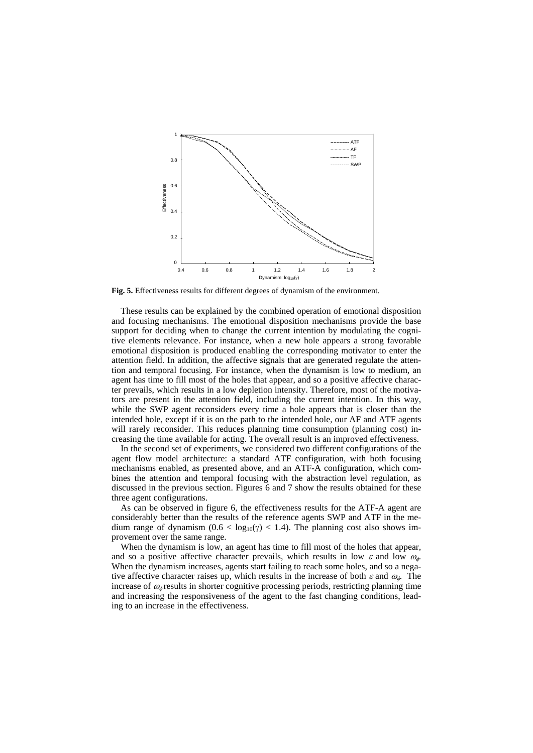

**Fig. 5.** Effectiveness results for different degrees of dynamism of the environment.

These results can be explained by the combined operation of emotional disposition and focusing mechanisms. The emotional disposition mechanisms provide the base support for deciding when to change the current intention by modulating the cognitive elements relevance. For instance, when a new hole appears a strong favorable emotional disposition is produced enabling the corresponding motivator to enter the attention field. In addition, the affective signals that are generated regulate the attention and temporal focusing. For instance, when the dynamism is low to medium, an agent has time to fill most of the holes that appear, and so a positive affective character prevails, which results in a low depletion intensity. Therefore, most of the motivators are present in the attention field, including the current intention. In this way, while the SWP agent reconsiders every time a hole appears that is closer than the intended hole, except if it is on the path to the intended hole, our AF and ATF agents will rarely reconsider. This reduces planning time consumption (planning cost) increasing the time available for acting. The overall result is an improved effectiveness.

In the second set of experiments, we considered two different configurations of the agent flow model architecture: a standard ATF configuration, with both focusing mechanisms enabled, as presented above, and an ATF-A configuration, which combines the attention and temporal focusing with the abstraction level regulation, as discussed in the previous section. Figures 6 and 7 show the results obtained for these three agent configurations.

As can be observed in figure 6, the effectiveness results for the ATF-A agent are considerably better than the results of the reference agents SWP and ATF in the medium range of dynamism  $(0.6 < log_{10}(\gamma) < 1.4)$ . The planning cost also shows improvement over the same range.

When the dynamism is low, an agent has time to fill most of the holes that appear, and so a positive affective character prevails, which results in low  $\varepsilon$  and low  $\omega_{\phi}$ . When the dynamism increases, agents start failing to reach some holes, and so a negative affective character raises up, which results in the increase of both  $\varepsilon$  and  $\omega_{\phi}$ . The increase of  $\omega_{\phi}$  results in shorter cognitive processing periods, restricting planning time and increasing the responsiveness of the agent to the fast changing conditions, leading to an increase in the effectiveness.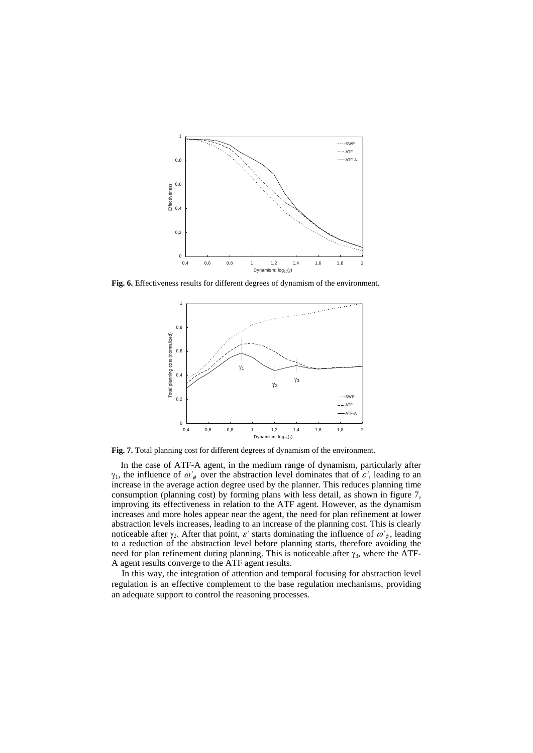

**Fig. 6.** Effectiveness results for different degrees of dynamism of the environment.



**Fig. 7.** Total planning cost for different degrees of dynamism of the environment.

In the case of ATF-A agent, in the medium range of dynamism, particularly after  $γ<sub>1</sub>$ , the influence of  $ω<sub>φ</sub>$  over the abstraction level dominates that of  $ε<sub>1</sub>$ , leading to an increase in the average action degree used by the planner. This reduces planning time consumption (planning cost) by forming plans with less detail, as shown in figure 7, improving its effectiveness in relation to the ATF agent. However, as the dynamism increases and more holes appear near the agent, the need for plan refinement at lower abstraction levels increases, leading to an increase of the planning cost. This is clearly noticeable after  $\gamma_2$ . After that point,  $\varepsilon'$  starts dominating the influence of  $\omega'_\theta$ , leading to a reduction of the abstraction level before planning starts, therefore avoiding the need for plan refinement during planning. This is noticeable after  $\gamma_3$ , where the ATF-A agent results converge to the ATF agent results.

In this way, the integration of attention and temporal focusing for abstraction level regulation is an effective complement to the base regulation mechanisms, providing an adequate support to control the reasoning processes.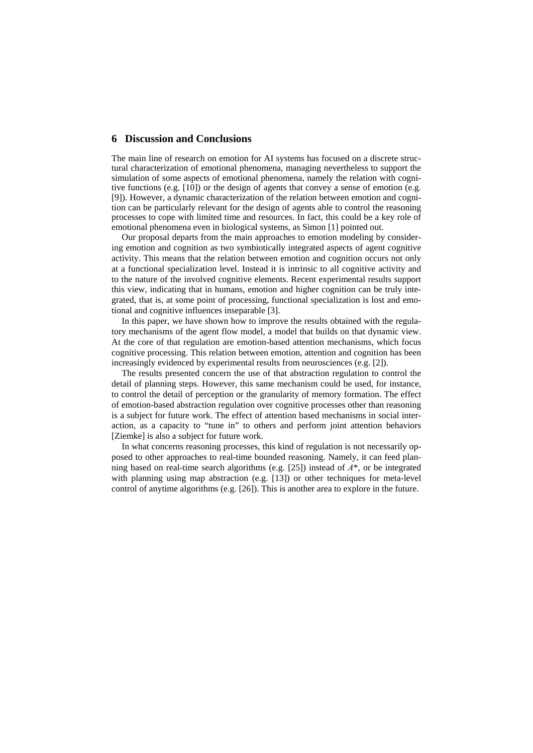# **6 Discussion and Conclusions**

The main line of research on emotion for AI systems has focused on a discrete structural characterization of emotional phenomena, managing nevertheless to support the simulation of some aspects of emotional phenomena, namely the relation with cognitive functions (e.g.  $[10]$ ) or the design of agents that convey a sense of emotion (e.g. [9]). However, a dynamic characterization of the relation between emotion and cognition can be particularly relevant for the design of agents able to control the reasoning processes to cope with limited time and resources. In fact, this could be a key role of emotional phenomena even in biological systems, as Simon [1] pointed out.

Our proposal departs from the main approaches to emotion modeling by considering emotion and cognition as two symbiotically integrated aspects of agent cognitive activity. This means that the relation between emotion and cognition occurs not only at a functional specialization level. Instead it is intrinsic to all cognitive activity and to the nature of the involved cognitive elements. Recent experimental results support this view, indicating that in humans, emotion and higher cognition can be truly integrated, that is, at some point of processing, functional specialization is lost and emotional and cognitive influences inseparable [3].

In this paper, we have shown how to improve the results obtained with the regulatory mechanisms of the agent flow model, a model that builds on that dynamic view. At the core of that regulation are emotion-based attention mechanisms, which focus cognitive processing. This relation between emotion, attention and cognition has been increasingly evidenced by experimental results from neurosciences (e.g. [2]).

The results presented concern the use of that abstraction regulation to control the detail of planning steps. However, this same mechanism could be used, for instance, to control the detail of perception or the granularity of memory formation. The effect of emotion-based abstraction regulation over cognitive processes other than reasoning is a subject for future work. The effect of attention based mechanisms in social interaction, as a capacity to "tune in" to others and perform joint attention behaviors [Ziemke] is also a subject for future work.

In what concerns reasoning processes, this kind of regulation is not necessarily opposed to other approaches to real-time bounded reasoning. Namely, it can feed planning based on real-time search algorithms (e.g. [25]) instead of *A*\*, or be integrated with planning using map abstraction (e.g. [13]) or other techniques for meta-level control of anytime algorithms (e.g. [26]). This is another area to explore in the future.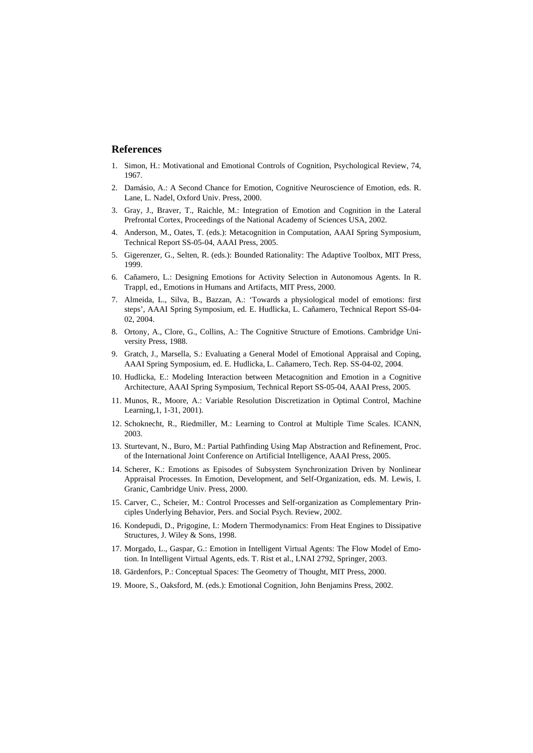## **References**

- 1. Simon, H.: Motivational and Emotional Controls of Cognition, Psychological Review, 74, 1967.
- 2. Damásio, A.: A Second Chance for Emotion, Cognitive Neuroscience of Emotion, eds. R. Lane, L. Nadel, Oxford Univ. Press, 2000.
- 3. Gray, J., Braver, T., Raichle, M.: Integration of Emotion and Cognition in the Lateral Prefrontal Cortex, Proceedings of the National Academy of Sciences USA, 2002.
- 4. Anderson, M., Oates, T. (eds.): Metacognition in Computation, AAAI Spring Symposium, Technical Report SS-05-04, AAAI Press, 2005.
- 5. Gigerenzer, G., Selten, R. (eds.): Bounded Rationality: The Adaptive Toolbox, MIT Press, 1999.
- 6. Cañamero, L.: Designing Emotions for Activity Selection in Autonomous Agents. In R. Trappl, ed., Emotions in Humans and Artifacts, MIT Press, 2000.
- 7. Almeida, L., Silva, B., Bazzan, A.: 'Towards a physiological model of emotions: first steps', AAAI Spring Symposium, ed. E. Hudlicka, L. Cañamero, Technical Report SS-04- 02, 2004.
- 8. Ortony, A., Clore, G., Collins, A.: The Cognitive Structure of Emotions. Cambridge University Press, 1988.
- 9. Gratch, J., Marsella, S.: Evaluating a General Model of Emotional Appraisal and Coping, AAAI Spring Symposium, ed. E. Hudlicka, L. Cañamero, Tech. Rep. SS-04-02, 2004.
- 10. Hudlicka, E.: Modeling Interaction between Metacognition and Emotion in a Cognitive Architecture, AAAI Spring Symposium, Technical Report SS-05-04, AAAI Press, 2005.
- 11. Munos, R., Moore, A.: Variable Resolution Discretization in Optimal Control, Machine Learning,1, 1-31, 2001).
- 12. Schoknecht, R., Riedmiller, M.: Learning to Control at Multiple Time Scales. ICANN, 2003.
- 13. Sturtevant, N., Buro, M.: Partial Pathfinding Using Map Abstraction and Refinement, Proc. of the International Joint Conference on Artificial Intelligence, AAAI Press, 2005.
- 14. Scherer, K.: Emotions as Episodes of Subsystem Synchronization Driven by Nonlinear Appraisal Processes. In Emotion, Development, and Self-Organization, eds. M. Lewis, I. Granic, Cambridge Univ. Press, 2000.
- 15. Carver, C., Scheier, M.: Control Processes and Self-organization as Complementary Principles Underlying Behavior, Pers. and Social Psych. Review, 2002.
- 16. Kondepudi, D., Prigogine, I.: Modern Thermodynamics: From Heat Engines to Dissipative Structures, J. Wiley & Sons, 1998.
- 17. Morgado, L., Gaspar, G.: Emotion in Intelligent Virtual Agents: The Flow Model of Emotion. In Intelligent Virtual Agents, eds. T. Rist et al., LNAI 2792, Springer, 2003.
- 18. Gärdenfors, P.: Conceptual Spaces: The Geometry of Thought, MIT Press, 2000.
- 19. Moore, S., Oaksford, M. (eds.): Emotional Cognition, John Benjamins Press, 2002.